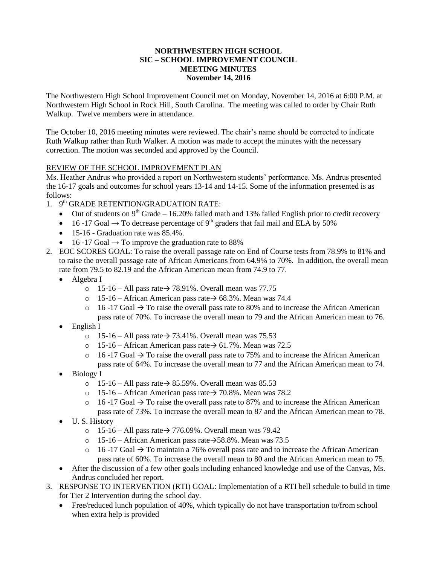## **NORTHWESTERN HIGH SCHOOL SIC – SCHOOL IMPROVEMENT COUNCIL MEETING MINUTES November 14, 2016**

The Northwestern High School Improvement Council met on Monday, November 14, 2016 at 6:00 P.M. at Northwestern High School in Rock Hill, South Carolina. The meeting was called to order by Chair Ruth Walkup. Twelve members were in attendance.

The October 10, 2016 meeting minutes were reviewed. The chair's name should be corrected to indicate Ruth Walkup rather than Ruth Walker. A motion was made to accept the minutes with the necessary correction. The motion was seconded and approved by the Council.

# REVIEW OF THE SCHOOL IMPROVEMENT PLAN

Ms. Heather Andrus who provided a report on Northwestern students' performance. Ms. Andrus presented the 16-17 goals and outcomes for school years 13-14 and 14-15. Some of the information presented is as follows:

- 1. 9<sup>th</sup> GRADE RETENTION/GRADUATION RATE:
	- Out of students on  $9<sup>th</sup>$  Grade 16.20% failed math and 13% failed English prior to credit recovery
	- 16 -17 Goal  $\rightarrow$  To decrease percentage of 9<sup>th</sup> graders that fail mail and ELA by 50%
	- $\bullet$  15-16 Graduation rate was 85.4%.
	- 16 -17 Goal → To improve the graduation rate to 88%
- 2. EOC SCORES GOAL: To raise the overall passage rate on End of Course tests from 78.9% to 81% and to raise the overall passage rate of African Americans from 64.9% to 70%. In addition, the overall mean rate from 79.5 to 82.19 and the African American mean from 74.9 to 77.
	- Algebra I
		- o 15-16 All pass rate→ 78.91%. Overall mean was 77.75
		- o 15-16 African American pass rate→ 68.3%. Mean was 74.4
		- $\circ$  16 -17 Goal  $\rightarrow$  To raise the overall pass rate to 80% and to increase the African American pass rate of 70%. To increase the overall mean to 79 and the African American mean to 76.
	- English I
		- o 15-16 All pass rate→ 73.41%. Overall mean was 75.53
		- o 15-16 African American pass rate→ 61.7%. Mean was 72.5
		- $\circ$  16 -17 Goal  $\rightarrow$  To raise the overall pass rate to 75% and to increase the African American pass rate of 64%. To increase the overall mean to 77 and the African American mean to 74.
	- Biology I
		- o 15-16 All pass rate→ 85.59%. Overall mean was 85.53
		- o 15-16 African American pass rate  $\rightarrow$  70.8%. Mean was 78.2
		- $\circ$  16 -17 Goal  $\rightarrow$  To raise the overall pass rate to 87% and to increase the African American pass rate of 73%. To increase the overall mean to 87 and the African American mean to 78.
	- U. S. History
		- o 15-16 All pass rate $\rightarrow$  776.09%. Overall mean was 79.42
		- o 15-16 African American pass rate→58.8%. Mean was 73.5
		- $\circ$  16 -17 Goal  $\rightarrow$  To maintain a 76% overall pass rate and to increase the African American pass rate of 60%. To increase the overall mean to 80 and the African American mean to 75.
	- After the discussion of a few other goals including enhanced knowledge and use of the Canvas, Ms. Andrus concluded her report.
- 3. RESPONSE TO INTERVENTION (RTI) GOAL: Implementation of a RTI bell schedule to build in time for Tier 2 Intervention during the school day.
	- Free/reduced lunch population of 40%, which typically do not have transportation to/from school when extra help is provided